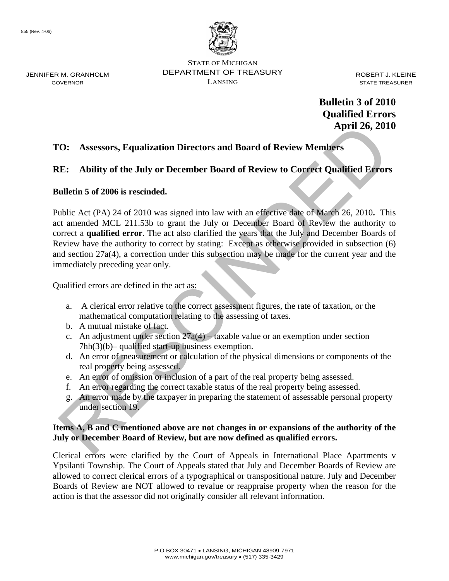

STATE OF MICHIGAN DEPARTMENT OF TREASURY LANSING

ROBERT J. KLEINE STATE TREASURER

 **Bulletin 3 of 2010 Qualified Errors April 26, 2010** 

## **TO: Assessors, Equalization Directors and Board of Review Members**

# **RE: Ability of the July or December Board of Review to Correct Qualified Errors**

## **Bulletin 5 of 2006 is rescinded.**

**April 26, 2013**<br> **April 26, 2013**<br> **April 26, 2013**<br> **CE:** Ability of the July or December Board of Review to Correct Qualified Errors<br>
ulletin 5 of 2006 is rescinded.<br>
Which Act (PA) 24 of 2010 was signed into law with Public Act (PA) 24 of 2010 was signed into law with an effective date of March 26, 2010**.** This act amended MCL 211.53b to grant the July or December Board of Review the authority to correct a **qualified error**. The act also clarified the years that the July and December Boards of Review have the authority to correct by stating: Except as otherwise provided in subsection (6) and section 27a(4), a correction under this subsection may be made for the current year and the immediately preceding year only.

Qualified errors are defined in the act as:

- a. A clerical error relative to the correct assessment figures, the rate of taxation, or the mathematical computation relating to the assessing of taxes.
- b. A mutual mistake of fact.
- c. An adjustment under section  $27a(4) -$  taxable value or an exemption under section 7hh(3)(b)– qualified start-up business exemption.
- d. An error of measurement or calculation of the physical dimensions or components of the real property being assessed.
- e. An error of omission or inclusion of a part of the real property being assessed.
- f. An error regarding the correct taxable status of the real property being assessed.
- g. An error made by the taxpayer in preparing the statement of assessable personal property under section 19.

### **Items A, B and C mentioned above are not changes in or expansions of the authority of the July or December Board of Review, but are now defined as qualified errors.**

Clerical errors were clarified by the Court of Appeals in International Place Apartments v Ypsilanti Township. The Court of Appeals stated that July and December Boards of Review are allowed to correct clerical errors of a typographical or transpositional nature. July and December Boards of Review are NOT allowed to revalue or reappraise property when the reason for the action is that the assessor did not originally consider all relevant information.

JENNIFER M. GRANHOLM GOVERNOR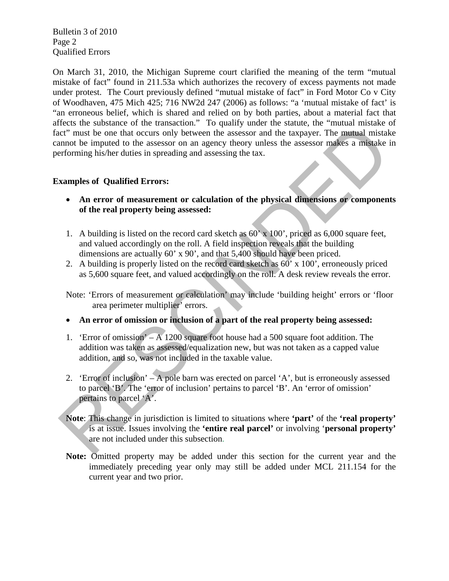Bulletin 3 of 2010 Page 2 Qualified Errors

Figures the solution of the nature of the matter of the same will be the same with the same of the translation of the translation of the translation of the multiplier of the assessor of an agency theory unless the assesso On March 31, 2010, the Michigan Supreme court clarified the meaning of the term "mutual mistake of fact" found in 211.53a which authorizes the recovery of excess payments not made under protest. The Court previously defined "mutual mistake of fact" in Ford Motor Co v City of Woodhaven, 475 Mich 425; 716 NW2d 247 (2006) as follows: "a 'mutual mistake of fact' is "an erroneous belief, which is shared and relied on by both parties, about a material fact that affects the substance of the transaction." To qualify under the statute, the "mutual mistake of fact" must be one that occurs only between the assessor and the taxpayer. The mutual mistake cannot be imputed to the assessor on an agency theory unless the assessor makes a mistake in performing his/her duties in spreading and assessing the tax.

### **Examples of Qualified Errors:**

- **An error of measurement or calculation of the physical dimensions or components of the real property being assessed:**
- 1. A building is listed on the record card sketch as 60' x 100', priced as 6,000 square feet, and valued accordingly on the roll. A field inspection reveals that the building dimensions are actually 60' x 90', and that 5,400 should have been priced.
- 2. A building is properly listed on the record card sketch as 60' x 100', erroneously priced as 5,600 square feet, and valued accordingly on the roll. A desk review reveals the error.
- Note: 'Errors of measurement or calculation' may include 'building height' errors or 'floor area perimeter multiplier' errors.
- **An error of omission or inclusion of a part of the real property being assessed:**
- 1. 'Error of omission' A 1200 square foot house had a 500 square foot addition. The addition was taken as assessed/equalization new, but was not taken as a capped value addition, and so, was not included in the taxable value.
- 2. 'Error of inclusion' A pole barn was erected on parcel 'A', but is erroneously assessed to parcel 'B'. The 'error of inclusion' pertains to parcel 'B'. An 'error of omission' pertains to parcel 'A'.
- **Note**: This change in jurisdiction is limited to situations where **'part'** of the **'real property'**  is at issue. Issues involving the **'entire real parcel'** or involving '**personal property'**  are not included under this subsection.
- **Note:** Omitted property may be added under this section for the current year and the immediately preceding year only may still be added under MCL 211.154 for the current year and two prior.